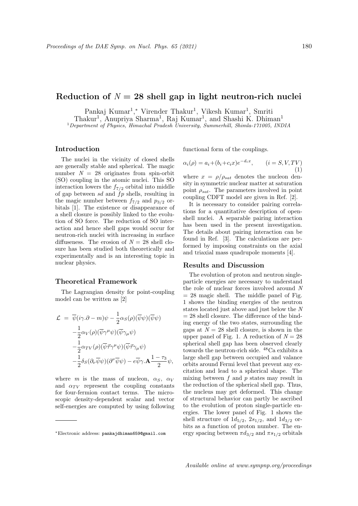# Reduction of  $N = 28$  shell gap in light neutron-rich nuclei

Pankaj Kumar<sup>1</sup>,\* Virender Thakur<sup>1</sup>, Vikesh Kumar<sup>1</sup>, Smriti

Thakur<sup>1</sup>, Anupriya Sharma<sup>1</sup>, Raj Kumar<sup>1</sup>, and Shashi K. Dhiman<sup>1</sup>

<sup>1</sup>Department of Physics, Himachal Pradesh University, Summerhill, Shimla-171005, INDIA

## Introduction

The nuclei in the vicinity of closed shells are generally stable and spherical. The magic number  $N = 28$  originates from spin-orbit (SO) coupling in the atomic nuclei. This SO interaction lowers the  $f_{7/2}$  orbital into middle of gap between sd and  $fp$  shells, resulting in the magic number between  $f_{7/2}$  and  $p_{3/2}$  orbitals [1]. The existence or disappearance of a shell closure is possibly linked to the evolution of SO force. The reduction of SO interaction and hence shell gaps would occur for neutron-rich nuclei with increasing in surface diffuseness. The erosion of  $N = 28$  shell closure has been studied both theoretically and experimentally and is an interesting topic in nuclear physics.

### Theoretical Framework

The Lagrangian density for point-coupling model can be written as [2]

$$
\mathcal{L} = \overline{\psi}(i\gamma \cdot \partial - m)\psi - \frac{1}{2}\alpha_S(\rho)(\overline{\psi}\psi)(\overline{\psi}\psi) \n- \frac{1}{2}\alpha_V(\rho)(\overline{\psi}\gamma^{\mu}\psi)(\overline{\psi}\gamma_{\mu}\psi) \n- \frac{1}{2}\alpha_{TV}(\rho)(\overline{\psi}\vec{\tau}\gamma^{\mu}\psi)(\overline{\psi}\vec{\tau}\gamma_{\mu}\psi) \n- \frac{1}{2}\delta_S(\partial_{\nu}\overline{\psi}\psi)(\partial^{\nu}\overline{\psi}\psi) - e\overline{\psi}\gamma \cdot \mathbf{A} \frac{1 - \tau_3}{2}\psi,
$$

where m is the mass of nucleon,  $\alpha_S$ ,  $\alpha_V$ and  $\alpha_{TV}$  represent the coupling constants for four-fermion contact terms. The microscopic density-dependent scalar and vector self-energies are computed by using following functional form of the couplings.

$$
\alpha_i(\rho) = a_i + (b_i + c_i x)e^{-d_i x}, \qquad (i = S, V, TV)
$$

$$
\tag{1}
$$

where  $x = \rho/\rho_{sat}$  denotes the nucleon density in symmetric nuclear matter at saturation point  $\rho_{sat}$ . The parameters involved in point coupling CDFT model are given in Ref. [2].

It is necessary to consider pairing correlations for a quantitative description of openshell nuclei. A separable pairing interaction has been used in the present investigation. The details about pairing interaction can be found in Ref. [3]. The calculations are performed by imposing constraints on the axial and triaxial mass quadrupole moments [4].

#### Results and Discussion

The evolution of proton and neutron singleparticle energies are necessary to understand the role of nuclear forces involved around N  $= 28$  magic shell. The middle panel of Fig. 1 shows the binding energies of the neutron states located just above and just below the N  $= 28$  shell closure. The difference of the binding energy of the two states, surrounding the gaps at  $N = 28$  shell closure, is shown in the upper panel of Fig. 1. A reduction of  $N = 28$ spherical shell gap has been observed clearly towards the neutron-rich side. <sup>48</sup>Ca exhibits a large shell gap between occupied and valance orbits around Fermi level that prevent any excitation and lead to a spherical shape. The mixing between  $f$  and  $p$  states may result in the reduction of the spherical shell gap. Thus, the nucleus may get deformed. This change of structural behavior can partly be ascribed to the evolution of proton single-particle energies. The lower panel of Fig. 1 shows the shell structure of  $1d_{5/2}$ ,  $2s_{1/2}$ , and  $1d_{3/2}$  orbits as a function of proton number. The energy spacing between  $\pi d_{3/2}$  and  $\pi s_{1/2}$  orbitals

<sup>∗</sup>Electronic address: pankajdhiman659@gmail.com